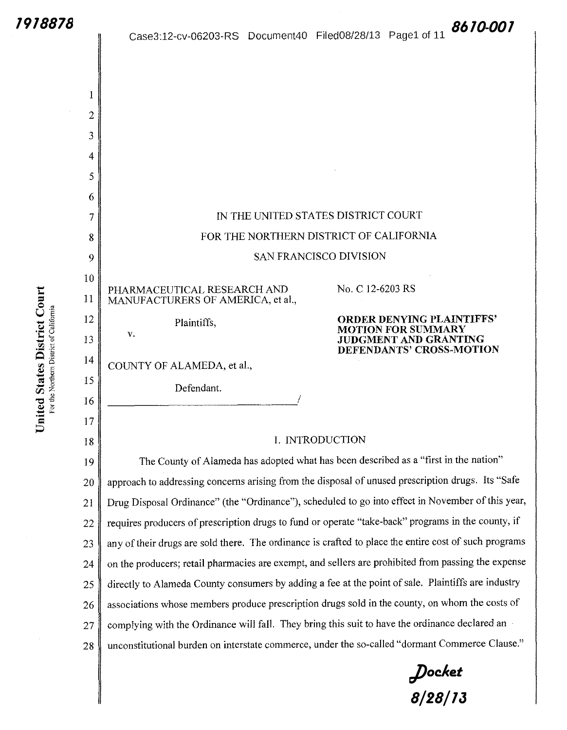I

2

3

4

5

6

7

8

9

 $\qquad \qquad$  10

 $\sum_{i=1}^{n}$  **U**  $\sum_{i=1}^{n}$ 

 $\frac{12}{15}$   $\frac{12}{13}$   $\frac{12}{13}$ 

·;:: ~10 14 "' *<sup>Q</sup>***Q.l** E .... " *o:€* 15 .... 0 rLJZ '1:1-13 " 16

 $\overline{\mathbf{B}}$   $\overline{\mathbf{B}}$   $\overline{\mathbf{B}}$   $\overline{\mathbf{B}}$   $\overline{\mathbf{B}}$   $\overline{\mathbf{B}}$   $\overline{\mathbf{B}}$   $\overline{\mathbf{B}}$   $\overline{\mathbf{B}}$   $\overline{\mathbf{B}}$   $\overline{\mathbf{B}}$   $\overline{\mathbf{B}}$   $\overline{\mathbf{B}}$   $\overline{\mathbf{B}}$   $\overline{\mathbf{B}}$   $\overline{\mathbf{B}}$   $\overline{\mathbf{B}}$   $\overline{\mathbf{B}}$   $\overline{\$ 

18

Dis<br>strict

For the Northern District of California

Case3:12-cv-06203-RS Document40 FiledOS/28/13 Pagel of 11 *8610-001*

IN THE UNITED STATES DISTRJCT COURT FOR THE NORTHERN DISTRJCT OF CALIFORNIA SAN FRANCISCO DIVISION PHARMACEUTICAL RESEARCH AND MANUFACTURERS OF AMER1CA, et al., Plaintiffs, v. COUNTY OF ALAMEDA, et al., Defendant. ------------------------~/ No. C 12-6203 RS **ORDER DENYING PLAINTIFFS' MOTION FOR SUMMARY JUDGMENT AND GRANTING DEFENDANTS' CROSS-MOTION**  I. INTRODUCTION The County of Alameda has adopted what has been described as a "first in the nation" **1978878**<br> **1978878**<br> **1988878**<br> **1988812**<br> **1988812**<br> **1988812**<br> **1988812**<br> **1988812**<br> **1988812**<br> **19888121**<br> **198881212 <b>19-1018812**<br> **198881212 <b>19-1018812**<br> **198881212** <br> **198881212 <b>1998812**<br> **1988812**<br> **1988812**<br> **1** 

19 20 21 22 23 24 25 26 27 28 approach to addressing concerns arising from the disposal of unused prescription drugs. Its "Safe Drug Disposal Ordinance" (the "Ordinance"), scheduled to go into effect in November of this year, requires producers of prescription drugs to fund or operate "take-back" programs in the county, if any of their drugs are sold there. The ordinance is crafted to place the entire cost of such programs on the producers; retail pharmacies are exempt, and sellers are prohibited from passing the expense directly to Alameda County consumers by adding a fee at the point of sale. Plaintiffs are industry associations whose members produce prescription drugs sold in the county, on whom the costs of complying with the Ordinance will fall. They bring this suit to have the ordinance declared an unconstitutional burden on interstate commerce, under the so-called "dormant Commerce Clause."

*Docket*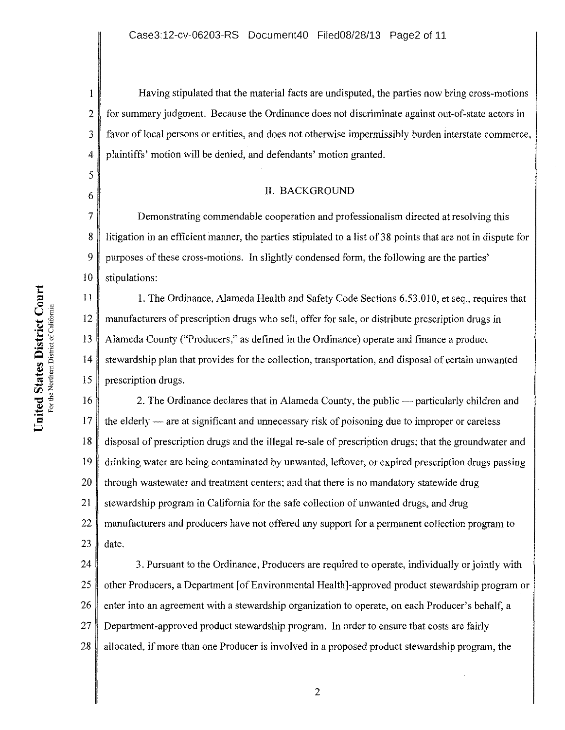Having stipulated that the material facts are undisputed, the parties now bring cross-motions for summary judgment. Because the Ordinance does not discriminate against out-of-state actors in favor of local persons or entities, and does not otherwise impermissibly burden interstate commerce, plaintiffs' motion will be denied, and defendants' motion granted.

#### II. BACKGROUND

Demonstrating commendable cooperation and professionalism directed at resolving this litigation in an efficient manner, the parties stipulated to a list of 38 points that are not in dispute for purposes of these cross-motions. In slightly condensed form, the following are the parties' stipulations:

I. The Ordinance, Alameda Health and Safety Code Sections 6.53.010, et seq., requires that manufacturers of prescription drugs who sell, offer for sale, or distribute prescription drugs in Alameda County ("Producers," as defined in the Ordinance) operate and finance a product stewardship plan that provides for the collection, transportation, and disposal of certain unwanted prescription drugs.

18 19 20 21 22 23 2. The Ordinance declares that in Alameda County, the public — particularly children and the elderly  $-$  are at significant and unnecessary risk of poisoning due to improper or careless disposal of prescription drugs and the illegal re-sale of prescription drugs; that the groundwater and drinking water are being contaminated by unwanted, leftover, or expired prescription drugs passing through wastewater and treatment centers; and that there is no mandatory statewide drug stewardship program in California for the safe collection of unwanted drugs, and drug manufacturers and producers have not offered any support for a permanent collection program to date.

24 25 26 27 28 3. Pursuant to the Ordinance, Producers are required to operate, individually or jointly with other Producers, a Department [of Environmental Health]-approved product stewardship program or enter into an agreement with a stewardship organization to operate, on each Producer's behalf, a Department-approved product stewardship program. In order to ensure that costs are fairly allocated, if more than one Producer is involved in a proposed product stewardship program, the

I

2

3

4

5

6

7

8

9

10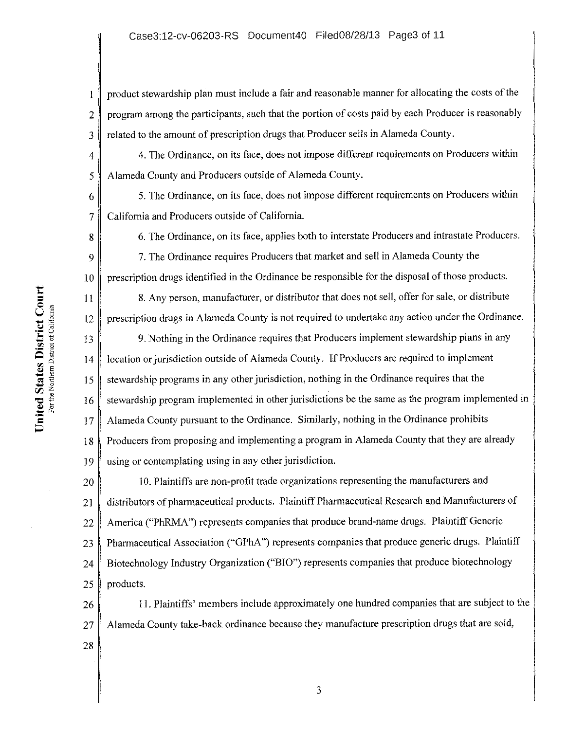2 3 product stewardship plan must include a fair and reasonable manner for allocating the costs of the program among the participants, such that the portion of costs paid by each Producer is reasonably related to the amount of prescription drugs that Producer sells in Alameda County.

4. The Ordinance, on its face, does not impose different requirements on Producers within Alameda County and Producers outside of Alameda County.

5. The Ordinance, on its face, does not impose different requirements on Producers within California and Producers outside of California.

6. The Ordinance, on its face, applies both to interstate Producers and intrastate Producers.

9 10 7. The Ordinance requires Producers that market and sell in Alameda County the prescription drugs identified in the Ordinance be responsible for the disposal of those products.

8. Any person, manufacturer, or distributor that does not sell, offer for sale, or distribute prescription drugs in Alameda County is not required to undertake any action under the Ordinance.

15 18 19 9. Nothing in the Ordinance requires that Producers implement stewardship plans in any location or jurisdiction outside of Alameda County. If Producers are required to implement stewardship programs in any other jurisdiction, nothing in the Ordinance requires that the stewardship program implemented in other jurisdictions be the same as the program implemented in Alameda County pursuant to the Ordinance. Similarly, nothing in the Ordinance prohibits Producers from proposing and implementing a program in Alameda County that they are already using or contemplating using in any other jurisdiction.

20 21 22 23 24 25 1 0. Plaintiffs are non-profit trade organizations representing the manufacturers and distributors of pharmaceutical products. Plaintiff Pharmaceutical Research and Manufacturers of America ("PhRMA") represents companies that produce brand-name drugs. Plaintiff Generic Pharmaceutical Association ("GPhA") represents companies that produce generic drugs. Plaintiff Biotechnology Industry Organization ("BIO") represents companies that produce biotechnology products.

26 27 11. Plaintiffs' members include approximately one hundred companies that are subject to the Alameda County take-back ordinance because they manufacture prescription drugs that are sold,

 $\begin{bmatrix}\n\mathbf{L} & \mathbf{L} & \mathbf{L} \\
\mathbf{L} & \mathbf{L} & \mathbf{L} \\
\mathbf{L} & \mathbf{L} & \mathbf{L} \\
\mathbf{L} & \mathbf{L} & \mathbf{L}\n\end{bmatrix}$  $\sum_{i=1}^{n}$   $\sum_{j=1}^{n}$   $\sum_{j=1}^{n}$   $\sum_{j=1}^{n}$   $\sum_{j=1}^{n}$   $\sum_{j=1}^{n}$   $\sum_{j=1}^{n}$   $\sum_{j=1}^{n}$   $\sum_{j=1}^{n}$   $\sum_{j=1}^{n}$   $\sum_{j=1}^{n}$   $\sum_{j=1}^{n}$   $\sum_{j=1}^{n}$   $\sum_{j=1}^{n}$   $\sum_{j=1}^{n}$   $\sum_{j=1}^{n}$   $\sum_{j=1}^{n}$   $\frac{1}{2}$  14  $\mathbf{S}$  is  $\bar{\mathbf{z}}$   $\bar{\mathbf{z}}$  .  $\frac{1}{8}$   $\frac{16}{5}$   $\frac{16}{5}$  $\texttt{=}$   $\texttt{=}$  $\mathbf{r}$  -  $\mathbf{r}$  $\frac{1}{5}$  17

4

 $\mathbf{1}$ 

5

6

7

8

II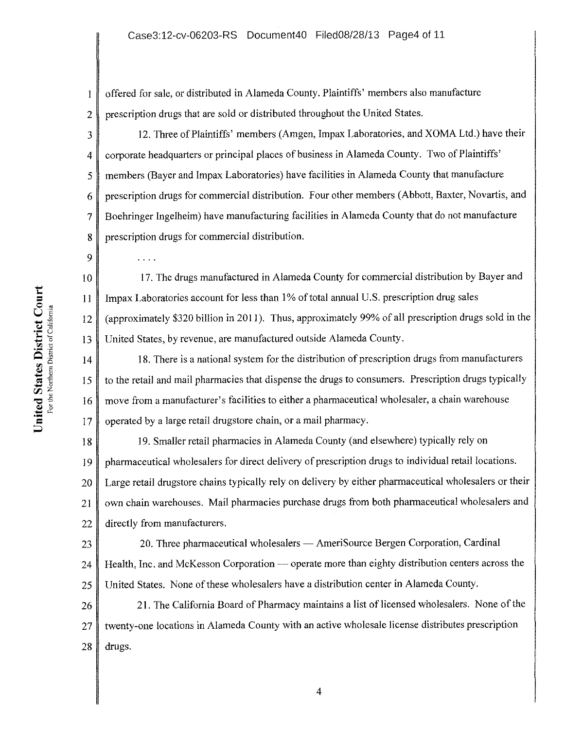offered for sale, or distributed in Alameda County. Plaintiffs' members also manufacture  $\mathbf{1}$ prescription drugs that are sold or distributed throughout the United States. 2

3 4 5 6 7 8 12. Three of Plaintiffs' members (Amgen, Impax Laboratories, and XOMA Ltd.) have their corporate headquarters or principal places of business in Alameda County. Two of Plaintiffs' members (Bayer and Impax Laboratories) have facilities in Alameda County that manufacture prescription drugs for commercial distribution. Four other members (Abbott, Baxter, Novartis, and Boehringer Ingelheim) have manufacturing facilities in Alameda County that do not manufacture prescription drugs for commercial distribution.

17. The drugs manufactured in Alameda County for commercial distribution by Bayer and Impax Laboratories account for less than 1% of total annual U.S. prescription drug sales (approximately \$320 billion in 2011). Thus, approximately 99% of all prescription drugs sold in the United States, by revenue, are manufactured outside Alameda County.

18. There is a national system for the distribution of prescription drugs from manufacturers to the retail and mail pharmacies that dispense the drugs to consumers. Prescription drugs typically move from a manufacturer's facilities to either a pharmaceutical wholesaler, a chain warehouse operated by a large retail drugstore chain, or a mail pharmacy.

18 19 20 21 22 19. Smaller retail pharmacies in Alameda County (and elsewhere) typically rely on pharmaceutical wholesalers for direct delivery of prescription drugs to individual retail locations. Large retail drugstore chains typically rely on delivery by either pharmaceutical wholesalers or their own chain warehouses. Mail pharmacies purchase drugs from both pharmaceutical wholesalers and directly from manufacturers.

23 24 25 20. Three pharmaceutical wholesalers — AmeriSource Bergen Corporation, Cardinal Health, Inc. and McKesson Corporation — operate more than eighty distribution centers across the United States. None of these wholesalers have a distribution center in Alameda County.

26 27 28 21. The California Board of Pharmacy maintains a list of licensed wholesalers. None of the twenty-one locations in Alameda County with an active wholesale license distributes prescription drugs.

9

 $\ldots$  .

10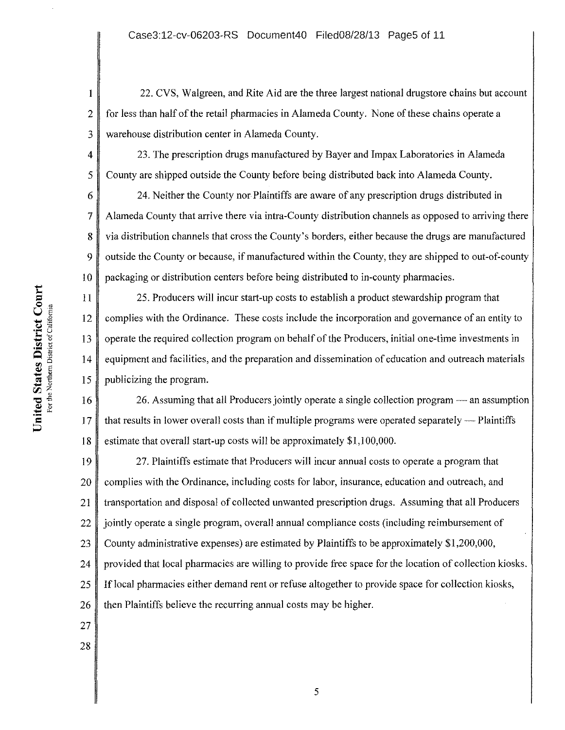22. CVS, Walgreen, and Rite Aid are the three largest national drugstore chains but account for less than half of the retail pharmacies in Alameda County. None of these chains operate a warehouse distribution center in Alameda County.

23. The prescription drugs manufactured by Bayer and Impax Laboratories in Alameda County are shipped outside the County before being distributed back into Alameda County.

6 7 8 9 10 24. Neither the County nor Plaintiffs are aware of any prescription drugs distributed in Alameda County that arrive there via intra-County distribution channels as opposed to arriving there via distribution channels that cross the County's borders, either because the drugs are manufactured outside the County or because, if manufactured within the County, they are shipped to out-of-county packaging or distribution centers before being distributed to in-county pharmacies.

25. Producers will incur start-up costs to establish a product stewardship program that complies with the Ordinance. These costs include the incorporation and governance of an entity to operate the required collection program on behalf of the Producers, initial one-time investments in equipment and facilities, and the preparation and dissemination of education and outreach materials publicizing the program.

18 26. Assuming that all Producers jointly operate a single collection program — an assumption that results in lower overall costs than if multiple programs were operated separately — Plaintiffs estimate that overall start-up costs will be approximately \$1, I 00,000.

19 20 21 22 23 24 25 26 27. Plaintiffs estimate that Producers will incur annual costs to operate a program that complies with the Ordinance, including costs for labor, insurance, education and outreach, and transportation and disposal of collected unwanted prescription drugs. Assuming that all Producers jointly operate a single program, overall annual compliance costs (including reimbursement of County administrative expenses) are estimated by Plaintiffs to be approximately \$1,200,000, provided that local pharmacies are willing to provide free space for the location of collection kiosks. If local pharmacies either demand rent or refuse altogether to provide space for collection kiosks, then Plaintiffs believe the recurring annual costs may be higher.

- 27
- 28

t:  $\mathop{\mathrm{Cou}}\nolimits_{\mathop{\mathrm{min}}\nolimits}$ For the District California<br>
Expansive to the Manus<br>  $\begin{array}{ccc} & 12 & 13 \\ & 15 & 16 \\ \end{array}$  $\frac{1}{2}$ <br> $\frac{1}{2}$ <br> $\frac{1}{2}$ <br> $\frac{1}{2}$ <br> $\frac{1}{2}$ <br> $\frac{1}{2}$ <br> $\frac{1}{2}$ <br> $\frac{1}{2}$  $\frac{1}{2}$ <br>  $\frac{1}{2}$ <br>  $\frac{1}{2}$ <br>  $\frac{1}{2}$ <br>  $\frac{1}{2}$ <br>  $\frac{1}{2}$ <br>  $\frac{1}{2}$ <br>  $\frac{1}{2}$ <br>  $\frac{1}{2}$ <br>  $\frac{1}{2}$ <br>  $\frac{1}{2}$ <br>  $\frac{1}{2}$ <br>  $\frac{1}{2}$ <br>  $\frac{1}{2}$ <br>  $\frac{1}{2}$ <br>  $\frac{1}{2}$ <br>  $\frac{1}{2}$ <br>  $\frac{1}{2}$ <br>  $\frac{1}{2}$  $\overline{5}$   $\overline{17}$ 

I

2

3

4

5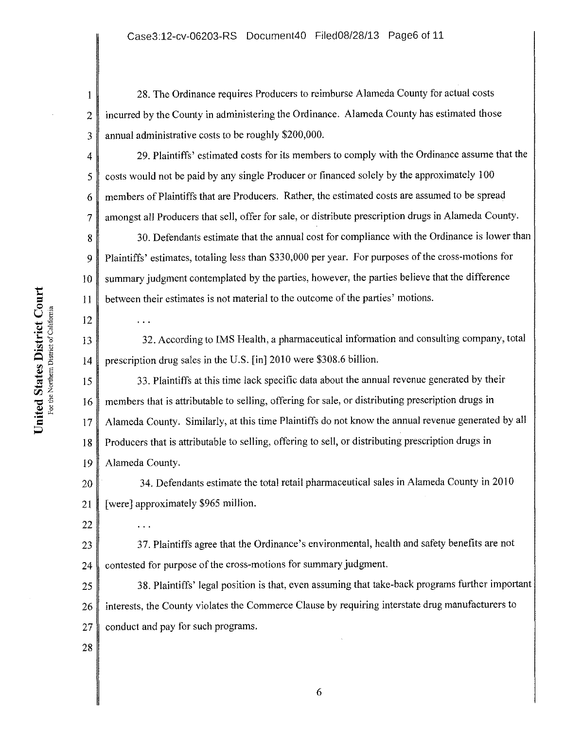28. The Ordinance requires Producers to reimburse Alameda County for actual costs incurred by the County in administering the Ordinance. Alameda County has estimated those annual administrative costs to be roughly \$200,000.

29. Plaintiffs' estimated costs for its members to comply with the Ordinance assume that the costs would not be paid by any single Producer or financed solely by the approximately I 00 members of Plaintiffs that are Producers. Rather, the estimated costs are assumed to be spread amongst all Producers that sell, offer for sale, or distribute prescription drugs in Alameda County.

8 9 10 30. Defendants estimate that the annual cost for compliance with the Ordinance is lower than Plaintiffs' estimates, totaling less than \$330,000 per year. For purposes of the cross-motions for summary judgment contemplated by the parties, however, the parties believe that the difference between their estimates is not material to the outcome of the parties' motions.

32. According to IMS Health, a pharmaceutical information and consulting company, total prescription drug sales in the U.S. [in]2010 were \$308.6 billion.

18 19 33. Plaintiffs at this time lack specific data about the annual revenue generated by their members that is attributable to selling, offering for sale, or distributing prescription drugs in Alameda County. Similarly, at this time Plaintiffs do not know the annual revenue generated by all Producers that is attributable to selling, offering to sell, or distributing prescription drugs in Alameda County.

20 21 34. Defendants estimate the total retail pharmaceutical sales in Alameda County in 2010 [were] approximately \$965 million.

23 24 37. Plaintiffs agree that the Ordinance's environmental, health and safety benefits are not contested for purpose of the cross-motions for summary judgment.

25 26 27 38. Plaintiffs' legal position is that, even assuming that take-back programs further important interests, the County violates the Commerce Clause by requiring interstate drug manufacturers to conduct and pay for such programs.

28

22

 $\ddots$ 

1

2

3

4

5

6

7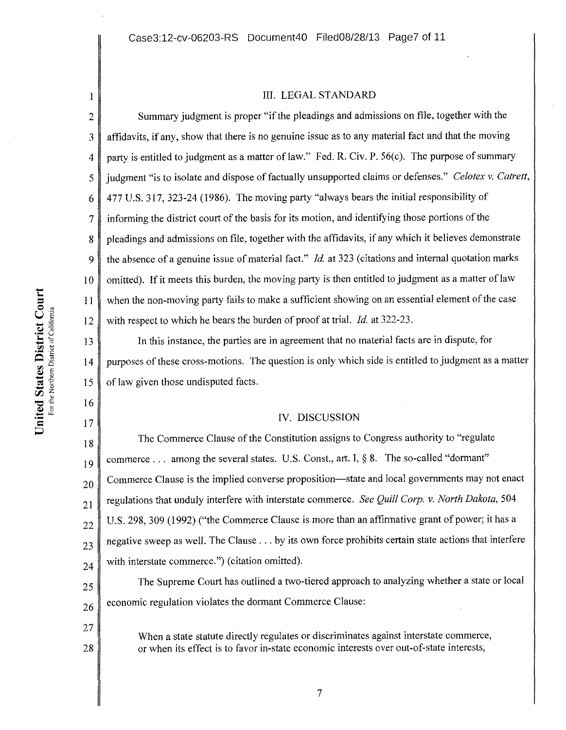#### III. LEGAL STANDARD

2 3 4 5 6 7 8 9 10 Summary judgment is proper "if the pleadings and admissions on file, together with the affidavits, if any, show that there is no genuine issue as to any material fact and that the moving party is entitled to judgment as a matter of law." Fed. R. Civ. P. 56(c). The purpose of summary judgment "is to isolate and dispose of factually unsupported claims or defenses." *Celotex* v. *Catrett,*  477 U.S. 317, 323-24 (1986). The moving party "always bears the initial responsibility of informing the district court of the basis for its motion, and identifying those portions of the pleadings and admissions on file, together with the affidavits, if any which it believes demonstrate the absence of a genuine issue of material fact." *!d.* at 323 (citations and internal quotation marks omitted). If it meets this burden, the moving party is then entitled to judgment as a matter of law when the non-moving party fails to make a sufficient showing on an essential element of the case with respect to which he bears the burden of proof at trial. *Id.* at 322-23.

In this instance, the parties are in agreement that no material facts are in dispute, for purposes of these cross-motions. The question is only which side is entitled to judgment as a matter of law given those undisputed facts.

### IV. DISCUSSION

18 19 20 21 22 23 24 The Commerce Clause of the Constitution assigns to Congress authority to "regulate commerce ... among the several states. U.S. Const., art. I,  $\S$  8. The so-called "dormant" Commerce Clause is the implied converse proposition—state and local governments may not enact regulations that unduly interfere with interstate commerce. *See Quill Corp.* v. *North Dakota,* 504 U.S. 298, 309 (1992) ("the Commerce Clause is more than an affirmative grant of power; it has a negative sweep as well. The Clause ... by its own force prohibits certain state actions that interfere with interstate commerce.") (citation omitted).

25 26 The Supreme Court has outlined a two-tiered approach to analyzing whether a state or local economic regulation violates the dormant Commerce Clause:

When a state statute directly regulates or discriminates against interstate commerce, or when its effect is to favor in-state economic interests over out-of-state interests,

17

27

28

I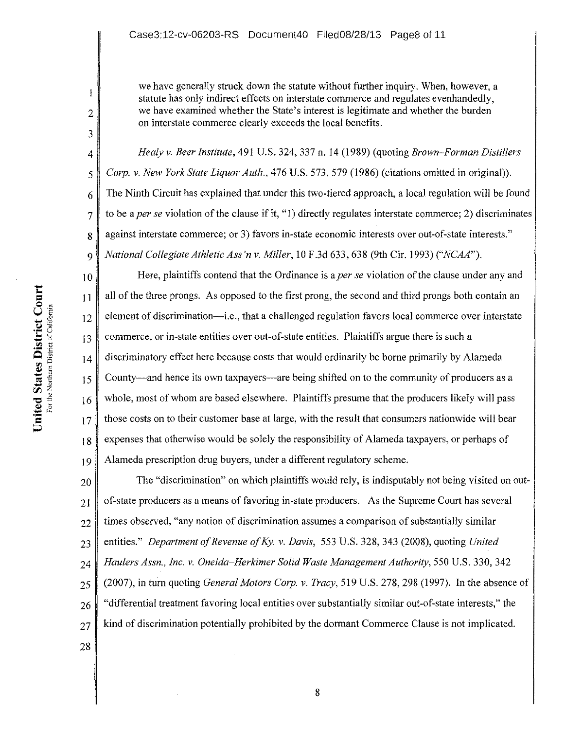we have generally struck down the statute without further inquiry. When, however, a statute has only indirect effects on interstate commerce and regulates evenhandedly, we have examined whether the State's interest is legitimate and whether the burden on interstate commerce clearly exceeds the local benefits.

*Healy* v. *Beer Institute,* 491 U.S. 324,337 n. 14 (1989) (quoting *Brown-Forman Distillers Corp.* v. *New York State Liquor Auth.,* 476 U.S. 573, 579 (1986) (citations omitted in original)). The Ninth Circuit has explained that under this two-tiered approach, a local regulation will be found to be a *per se* violation of the clause if it, "1) directly regulates interstate commerce; 2) discriminates against interstate commerce; or 3) favors in-state economic interests over out-of-state interests." *National Collegiate Athletic Ass'n* v. *Miller,* 10 F .3d 633, 638 (9th Cir. 1993) *("NCAA").* 

10 11 \$ 12 18 19 Here, plaintiffs contend that the Ordinance is a *per se* violation of the clause under any and all of the three prongs. As opposed to the first prong, the second and third prongs both contain an element of discrimination-i.e., that a challenged regulation favors local commerce over interstate commerce, or in-state entities over out-of-state entities. Plaintiffs argue there is such a discriminatory effect here because costs that would ordinarily be borne primarily by Alameda County-and hence its own taxpayers-are being shifted on to the community of producers as a whole, most of whom are based elsewhere. Plaintiffs presume that the producers likely will pass those costs on to their customer base at large, with the result that consumers nationwide will bear expenses that otherwise would be solely the responsibility of Alameda taxpayers, or perhaps of Alameda prescription drug buyers, under a different regulatory scheme.

20 21 22 23 24 25 26 27 The "discrimination" on which plaintiffs would rely, is indisputably not being visited on outof-state producers as a means of favoring in-state producers. As the Supreme Court has several times observed, "any notion of discrimination assumes a comparison of substantially similar entities." *Department of Revenue of Ky. v. Davis,* 553 U.S. 328, 343 (2008), quoting *United Haulers Assn., Inc. v. Oneida-Herkimer Solid Waste Management Authority,* 550 U.S. 330, 342 (2007), in tum quoting *General Motors Corp.* v. *Tracy,* 519 U.S. 278, 298 (1997). In the absence of "differential treatment favoring local entities over substantially similar out-of-state interests," the kind of discrimination potentially prohibited by the dormant Commerce Clause is not implicated.

 $\sum_{min}$ U <u>t</u> die **12**<br>
States of 2 is 13<br>
Expressed to 15<br>  $\frac{1}{2}$ <br>  $\frac{1}{2}$ <br>  $\frac{1}{2}$ ·-  $\frac{1}{9}$   $\frac{1}{5}$   $\frac{16}{16}$  $\sum_{n=1}^{\infty}$   $\sum_{n=1}^{\infty}$   $\frac{16}{17}$   $\sum_{n=1}^{\infty}$   $\frac{17}{17}$ 

1

2

3

4

5

6

7

8

9

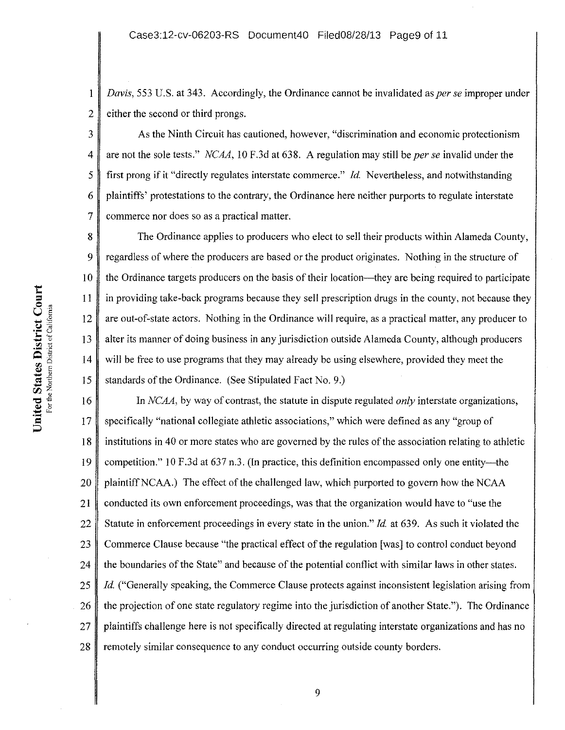I 2 *Davis,* 553 U.S. at 343. Accordingly, the Ordinance cannot be invalidated as *per se* improper under either the second or third prongs.

3 4 5 6 7 As the Ninth Circuit has cautioned, however, "discrimination and economic protectionism are not the sole tests." *NCAA,* 10 F.3d at 638. A regulation may still be *per se* invalid under the first prong if it "directly regulates interstate commerce." *Id.* Nevertheless, and notwithstanding plaintiffs' protestations to the contrary, the Ordinance here neither purports to regulate interstate commerce nor does so as a practical matter.

8 9 10 The Ordinance applies to producers who elect to sell their products within Alameda County, regardless of where the producers are based or the product originates. Nothing in the structure of the Ordinance targets producers on the basis of their location-they are being required to participate in providing take-back programs because they sell prescription drugs in the county, not because they are out-of-state actors. Nothing in the Ordinance will require, as a practical matter, any producer to alter its manner of doing business in any jurisdiction outside Alameda County, although producers will be free to use programs that they may already be using elsewhere, provided they meet the standards of the Ordinance. (See Stipulated Fact No.9.)

18 19 20 21 22 23 24 25 26 27 28 In *NCAA,* by way of contrast, the statute in dispute regulated *only* interstate organizations, specifically "national collegiate athletic associations," which were defined as any "group of institutions in 40 or more states who are governed by the rules of the association relating to athletic competition." 10 F.3d at 637 n.3. (In practice, this definition encompassed only one entity-the plaintiffNCAA.) The effect of the challenged law, which purported to govern how the NCAA conducted its own enforcement proceedings, was that the organization would have to "use the Statute in enforcement proceedings in every state in the union." *Id.* at 639. As such it violated the Commerce Clause because "the practical effect of the regulation [was] to control conduct beyond the boundaries of the State" and because of the potential conflict with similar Jaws in other states. *Id.* ("Generally speaking, the Commerce Clause protects against inconsistent legislation arising from the projection of one state regulatory regime into the jurisdiction of another State."). The Ordinance plaintiffs challenge here is not specifically directed at regulating interstate organizations and has no remotely similar consequence to any conduct occurring outside county borders.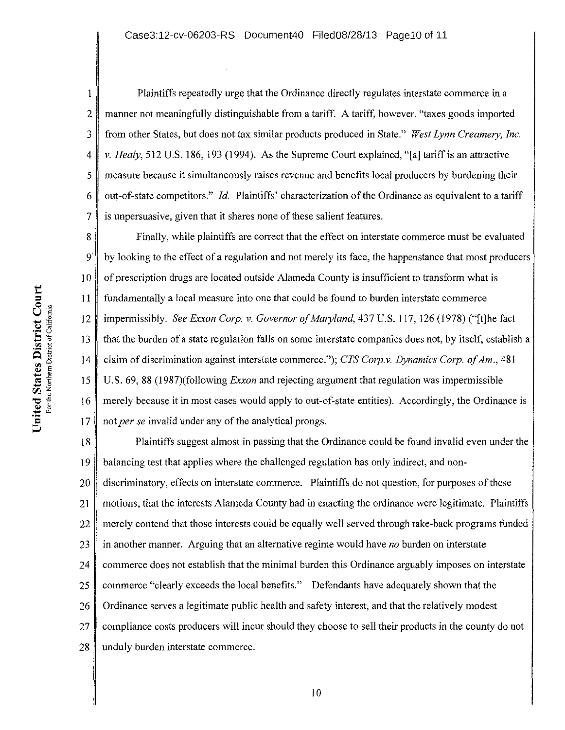2 3 4 5 6 Plaintiffs repeatedly urge that the Ordinance directly regulates interstate commerce in a manner not meaningfully distinguishable from a tariff. A tariff, however, "taxes goods imported from other States, but does not tax similar products produced in State." *West Lynn Creamery, Inc. v. Healy,* 512 U.S. 186, 193 (1994). As the Supreme Court explained, "[a] tariff is an attractive measure because it simultaneously raises revenue and benefits local producers by burdening their out-of-state competitors." *Id.* Plaintiffs' characterization of the Ordinance as equivalent to a tariff is unpersuasive, given that it shares none of these salient features.

8 9 10 Finally, while plaintiffs are correct that the effect on interstate commerce must be evaluated by looking to the effect of a regulation and not merely its face, the happenstance that most producers of prescription drugs are located outside Alameda County is insufficient to transform what is fundamentally a local measure into one that could be found to burden interstate commerce impermissibly. *See Exxon Corp. v. Governor of Maryland,* 437 U.S. 117, 126 (1978) ("[t]he fact that the burden of a state regulation falls on some interstate companies does not, by itself, establish a claim of discrimination against interstate commerce."); *CTS Corp. v. Dynamics Corp. of Am.,* 481 U.S. 69, 88 (1987)(following *Exxon* and rejecting argument that regulation was impermissible merely because it in most cases would apply to out-of-state entities). Accordingly, the Ordinance is not *per se* invalid under any of the analytical prongs.

18 19 20 21 22 23 24 25 26 27 28 Plaintiffs suggest almost in passing that the Ordinance could be found invalid even under the balancing test that applies where the challenged regulation has only indirect, and nondiscriminatory, effects on interstate commerce. Plaintiffs do not question, for purposes of these motions, that the interests Alameda County had in enacting the ordinance were legitimate. Plaintiffs merely contend that those interests could be equally well served through take-back programs funded in another manner. Arguing that an alternative regime would have *no* burden on interstate commerce does not establish that the minimal burden this Ordinance arguably imposes on interstate commerce "clearly exceeds the local benefits." Defendants have adequately shown that the Ordinance serves a legitimate public health and safety interest, and that the relatively modest compliance costs producers will incur should they choose to sell their products in the county do not unduly burden interstate commerce.

1

7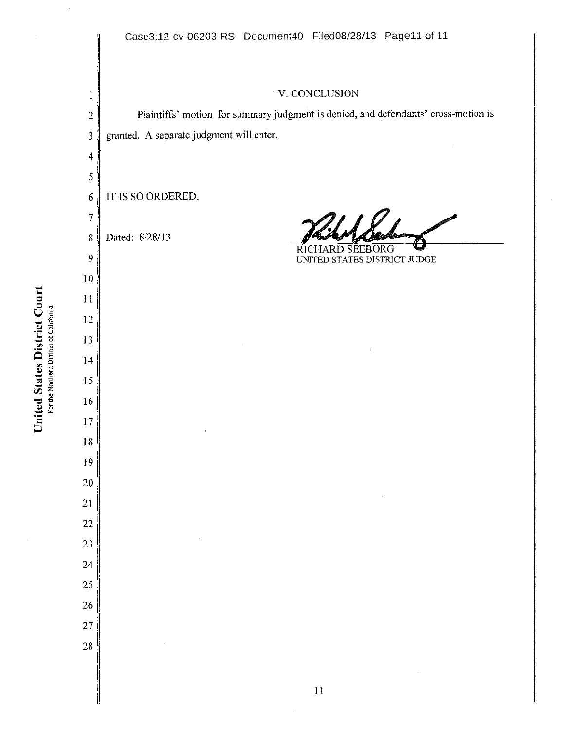I 2 3 4 5 6 7 8 9 10  $\frac{10}{25}$  10<br>  $\frac{10}{25}$  11 12  $\overline{5}$   $\overline{17}$ 18 19 20 21 22 23 24 25 26 27 28 V. CONCLUSION Plaintiffs' motion for summary judgment is denied, and defendants' cross-motion is granted. A separate judgment will enter. IT IS SO ORDERED. Dated: 8/28/13 RICHARD Rulled 6 UNITED STATES DISTRICT JUDGE I I